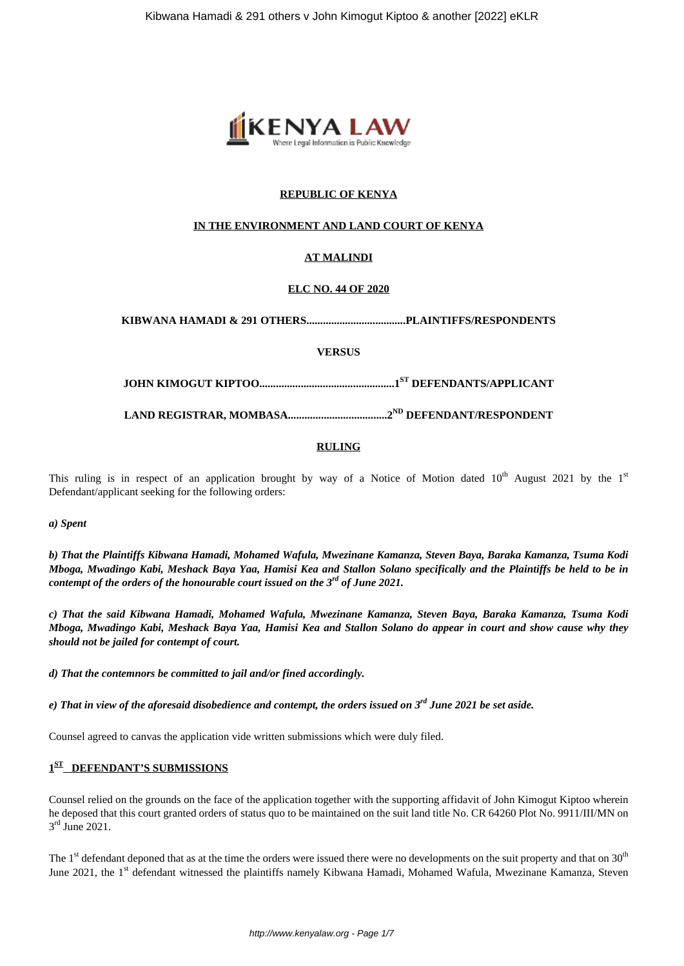

## **REPUBLIC OF KENYA**

## **IN THE ENVIRONMENT AND LAND COURT OF KENYA**

# **AT MALINDI**

## **ELC NO. 44 OF 2020**

**KIBWANA HAMADI & 291 OTHERS....................................PLAINTIFFS/RESPONDENTS**

**VERSUS**

**JOHN KIMOGUT KIPTOO.................................................1ST DEFENDANTS/APPLICANT**

**LAND REGISTRAR, MOMBASA....................................2ND DEFENDANT/RESPONDENT**

#### **RULING**

This ruling is in respect of an application brought by way of a Notice of Motion dated  $10^{th}$  August 2021 by the  $1^{st}$ Defendant/applicant seeking for the following orders:

*a) Spent* 

*b) That the Plaintiffs Kibwana Hamadi, Mohamed Wafula, Mwezinane Kamanza, Steven Baya, Baraka Kamanza, Tsuma Kodi Mboga, Mwadingo Kabi, Meshack Baya Yaa, Hamisi Kea and Stallon Solano specifically and the Plaintiffs be held to be in contempt of the orders of the honourable court issued on the 3rd of June 2021.*

*c) That the said Kibwana Hamadi, Mohamed Wafula, Mwezinane Kamanza, Steven Baya, Baraka Kamanza, Tsuma Kodi Mboga, Mwadingo Kabi, Meshack Baya Yaa, Hamisi Kea and Stallon Solano do appear in court and show cause why they should not be jailed for contempt of court.*

*d) That the contemnors be committed to jail and/or fined accordingly.*

*e) That in view of the aforesaid disobedience and contempt, the orders issued on 3rd June 2021 be set aside.*

Counsel agreed to canvas the application vide written submissions which were duly filed.

## **1 ST DEFENDANT'S SUBMISSIONS**

Counsel relied on the grounds on the face of the application together with the supporting affidavit of John Kimogut Kiptoo wherein he deposed that this court granted orders of status quo to be maintained on the suit land title No. CR 64260 Plot No. 9911/III/MN on 3<sup>rd</sup> June 2021.

The  $1<sup>st</sup>$  defendant deponed that as at the time the orders were issued there were no developments on the suit property and that on  $30<sup>th</sup>$ June 2021, the 1<sup>st</sup> defendant witnessed the plaintiffs namely Kibwana Hamadi, Mohamed Wafula, Mwezinane Kamanza, Steven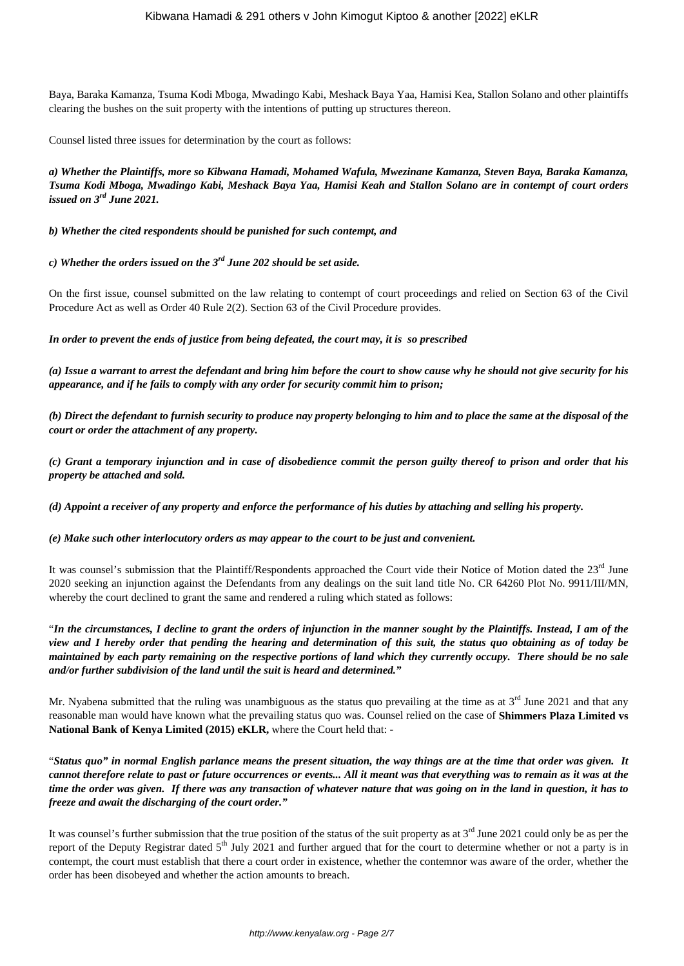Baya, Baraka Kamanza, Tsuma Kodi Mboga, Mwadingo Kabi, Meshack Baya Yaa, Hamisi Kea, Stallon Solano and other plaintiffs clearing the bushes on the suit property with the intentions of putting up structures thereon.

Counsel listed three issues for determination by the court as follows:

*a) Whether the Plaintiffs, more so Kibwana Hamadi, Mohamed Wafula, Mwezinane Kamanza, Steven Baya, Baraka Kamanza, Tsuma Kodi Mboga, Mwadingo Kabi, Meshack Baya Yaa, Hamisi Keah and Stallon Solano are in contempt of court orders issued on 3rd June 2021.*

*b) Whether the cited respondents should be punished for such contempt, and*

*c) Whether the orders issued on the 3rd June 202 should be set aside.*

On the first issue, counsel submitted on the law relating to contempt of court proceedings and relied on Section 63 of the Civil Procedure Act as well as Order 40 Rule 2(2). Section 63 of the Civil Procedure provides.

*In order to prevent the ends of justice from being defeated, the court may, it is so prescribed*

*(a) Issue a warrant to arrest the defendant and bring him before the court to show cause why he should not give security for his appearance, and if he fails to comply with any order for security commit him to prison;*

*(b) Direct the defendant to furnish security to produce nay property belonging to him and to place the same at the disposal of the court or order the attachment of any property.*

*(c) Grant a temporary injunction and in case of disobedience commit the person guilty thereof to prison and order that his property be attached and sold.*

*(d) Appoint a receiver of any property and enforce the performance of his duties by attaching and selling his property.*

*(e) Make such other interlocutory orders as may appear to the court to be just and convenient.*

It was counsel's submission that the Plaintiff/Respondents approached the Court vide their Notice of Motion dated the 23<sup>rd</sup> June 2020 seeking an injunction against the Defendants from any dealings on the suit land title No. CR 64260 Plot No. 9911/III/MN, whereby the court declined to grant the same and rendered a ruling which stated as follows:

"*In the circumstances, I decline to grant the orders of injunction in the manner sought by the Plaintiffs. Instead, I am of the view and I hereby order that pending the hearing and determination of this suit, the status quo obtaining as of today be maintained by each party remaining on the respective portions of land which they currently occupy. There should be no sale and/or further subdivision of the land until the suit is heard and determined."*

Mr. Nyabena submitted that the ruling was unambiguous as the status quo prevailing at the time as at  $3^{rd}$  June 2021 and that any reasonable man would have known what the prevailing status quo was. Counsel relied on the case of **Shimmers Plaza Limited vs National Bank of Kenya Limited (2015) eKLR,** where the Court held that: -

"*Status quo" in normal English parlance means the present situation, the way things are at the time that order was given. It cannot therefore relate to past or future occurrences or events... All it meant was that everything was to remain as it was at the time the order was given. If there was any transaction of whatever nature that was going on in the land in question, it has to freeze and await the discharging of the court order."*

It was counsel's further submission that the true position of the status of the suit property as at  $3<sup>rd</sup>$  June 2021 could only be as per the report of the Deputy Registrar dated  $5<sup>th</sup>$  July 2021 and further argued that for the court to determine whether or not a party is in contempt, the court must establish that there a court order in existence, whether the contemnor was aware of the order, whether the order has been disobeyed and whether the action amounts to breach.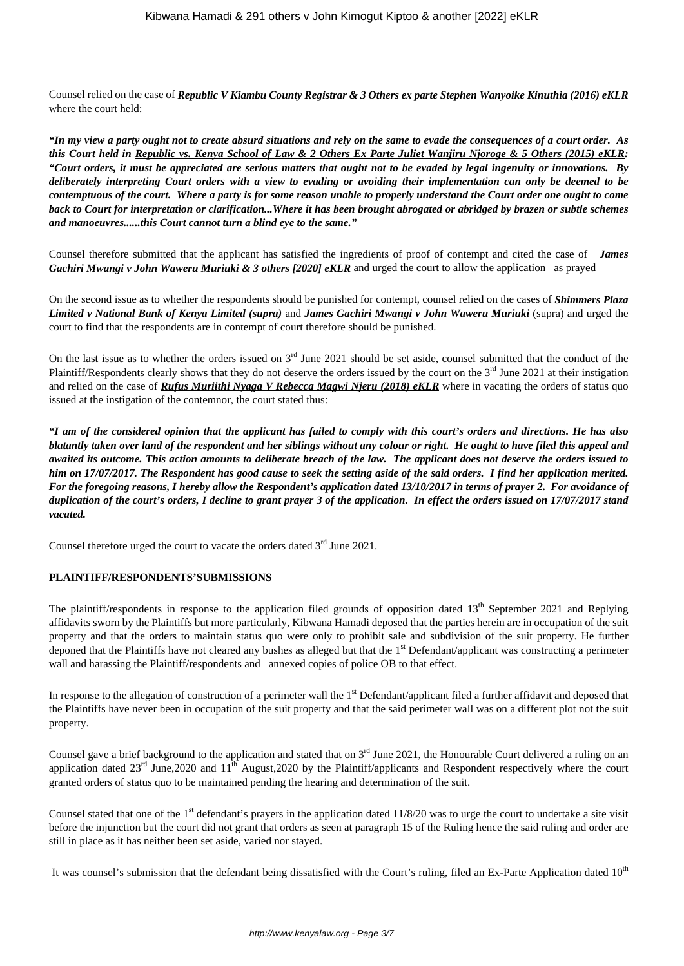Counsel relied on the case of *Republic V Kiambu County Registrar & 3 Others ex parte Stephen Wanyoike Kinuthia (2016) eKLR* where the court held:

*"In my view a party ought not to create absurd situations and rely on the same to evade the consequences of a court order. As this Court held in Republic vs. Kenya School of Law & 2 Others Ex Parte Juliet Wanjiru Njoroge & 5 Others (2015) eKLR: "Court orders, it must be appreciated are serious matters that ought not to be evaded by legal ingenuity or innovations. By deliberately interpreting Court orders with a view to evading or avoiding their implementation can only be deemed to be contemptuous of the court. Where a party is for some reason unable to properly understand the Court order one ought to come back to Court for interpretation or clarification...Where it has been brought abrogated or abridged by brazen or subtle schemes and manoeuvres......this Court cannot turn a blind eye to the same."*

Counsel therefore submitted that the applicant has satisfied the ingredients of proof of contempt and cited the case of *James Gachiri Mwangi v John Waweru Muriuki & 3 others [2020] eKLR* and urged the court to allow the application as prayed

On the second issue as to whether the respondents should be punished for contempt, counsel relied on the cases of *Shimmers Plaza Limited v National Bank of Kenya Limited (supra)* and *James Gachiri Mwangi v John Waweru Muriuki* (supra) and urged the court to find that the respondents are in contempt of court therefore should be punished.

On the last issue as to whether the orders issued on  $3<sup>rd</sup>$  June 2021 should be set aside, counsel submitted that the conduct of the Plaintiff/Respondents clearly shows that they do not deserve the orders issued by the court on the 3<sup>rd</sup> June 2021 at their instigation and relied on the case of *Rufus Muriithi Nyaga V Rebecca Magwi Njeru (2018) eKLR* where in vacating the orders of status quo issued at the instigation of the contemnor, the court stated thus:

*"I am of the considered opinion that the applicant has failed to comply with this court's orders and directions. He has also blatantly taken over land of the respondent and her siblings without any colour or right. He ought to have filed this appeal and awaited its outcome. This action amounts to deliberate breach of the law. The applicant does not deserve the orders issued to him on 17/07/2017. The Respondent has good cause to seek the setting aside of the said orders. I find her application merited. For the foregoing reasons, I hereby allow the Respondent's application dated 13/10/2017 in terms of prayer 2. For avoidance of duplication of the court's orders, I decline to grant prayer 3 of the application. In effect the orders issued on 17/07/2017 stand vacated.*

Counsel therefore urged the court to vacate the orders dated  $3<sup>rd</sup>$  June 2021.

## **PLAINTIFF/RESPONDENTS'SUBMISSIONS**

The plaintiff/respondents in response to the application filed grounds of opposition dated  $13<sup>th</sup>$  September 2021 and Replying affidavits sworn by the Plaintiffs but more particularly, Kibwana Hamadi deposed that the parties herein are in occupation of the suit property and that the orders to maintain status quo were only to prohibit sale and subdivision of the suit property. He further deponed that the Plaintiffs have not cleared any bushes as alleged but that the  $1<sup>st</sup>$  Defendant/applicant was constructing a perimeter wall and harassing the Plaintiff/respondents and annexed copies of police OB to that effect.

In response to the allegation of construction of a perimeter wall the 1<sup>st</sup> Defendant/applicant filed a further affidavit and deposed that the Plaintiffs have never been in occupation of the suit property and that the said perimeter wall was on a different plot not the suit property.

Counsel gave a brief background to the application and stated that on  $3<sup>rd</sup>$  June 2021, the Honourable Court delivered a ruling on an application dated  $23<sup>rd</sup>$  June,2020 and  $11<sup>th</sup>$  August,2020 by the Plaintiff/applicants and Respondent respectively where the court granted orders of status quo to be maintained pending the hearing and determination of the suit.

Counsel stated that one of the  $1<sup>st</sup>$  defendant's prayers in the application dated  $11/8/20$  was to urge the court to undertake a site visit before the injunction but the court did not grant that orders as seen at paragraph 15 of the Ruling hence the said ruling and order are still in place as it has neither been set aside, varied nor stayed.

It was counsel's submission that the defendant being dissatisfied with the Court's ruling, filed an Ex-Parte Application dated  $10<sup>th</sup>$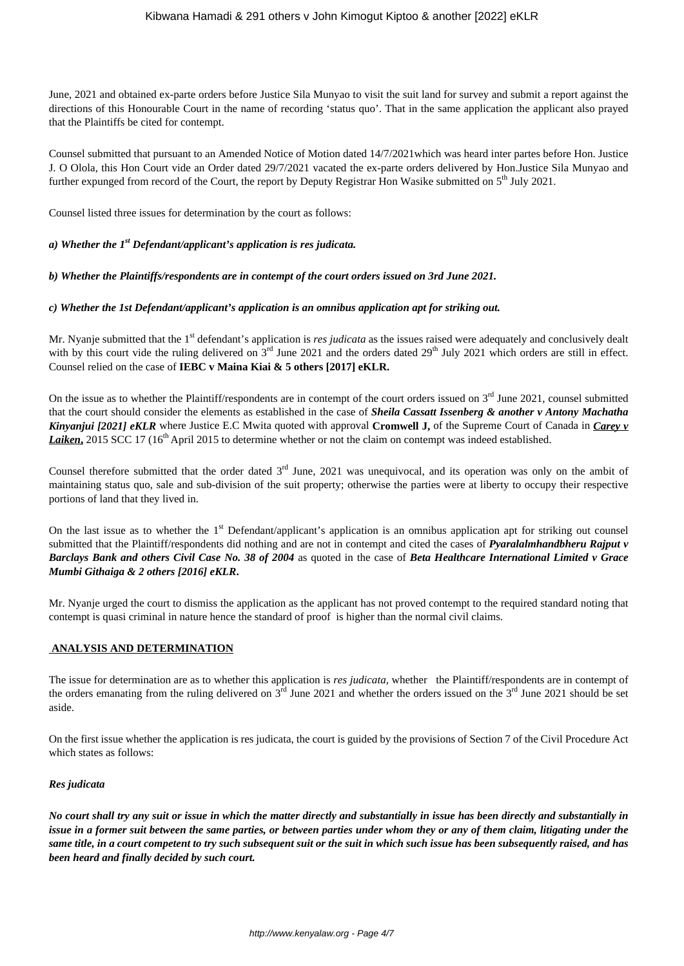June, 2021 and obtained ex-parte orders before Justice Sila Munyao to visit the suit land for survey and submit a report against the directions of this Honourable Court in the name of recording 'status quo'. That in the same application the applicant also prayed that the Plaintiffs be cited for contempt.

Counsel submitted that pursuant to an Amended Notice of Motion dated 14/7/2021which was heard inter partes before Hon. Justice J. O Olola, this Hon Court vide an Order dated 29/7/2021 vacated the ex-parte orders delivered by Hon.Justice Sila Munyao and further expunged from record of the Court, the report by Deputy Registrar Hon Wasike submitted on 5<sup>th</sup> July 2021.

Counsel listed three issues for determination by the court as follows:

## *a) Whether the 1st Defendant/applicant's application is res judicata.*

*b) Whether the Plaintiffs/respondents are in contempt of the court orders issued on 3rd June 2021.*

#### *c) Whether the 1st Defendant/applicant's application is an omnibus application apt for striking out.*

Mr. Nyanje submitted that the 1<sup>st</sup> defendant's application is *res judicata* as the issues raised were adequately and conclusively dealt with by this court vide the ruling delivered on  $3<sup>rd</sup>$  June 2021 and the orders dated  $29<sup>th</sup>$  July 2021 which orders are still in effect. Counsel relied on the case of **IEBC v Maina Kiai & 5 others [2017] eKLR.**

On the issue as to whether the Plaintiff/respondents are in contempt of the court orders issued on  $3<sup>rd</sup>$  June 2021, counsel submitted that the court should consider the elements as established in the case of *Sheila Cassatt Issenberg & another v Antony Machatha Kinyanjui [2021] eKLR* where Justice E.C Mwita quoted with approval **Cromwell J,** of the Supreme Court of Canada in *Carey v Laiken*, 2015 SCC 17 (16<sup>th</sup> April 2015 to determine whether or not the claim on contempt was indeed established.

Counsel therefore submitted that the order dated  $3<sup>rd</sup>$  June, 2021 was unequivocal, and its operation was only on the ambit of maintaining status quo, sale and sub-division of the suit property; otherwise the parties were at liberty to occupy their respective portions of land that they lived in.

On the last issue as to whether the  $1<sup>st</sup>$  Defendant/applicant's application is an omnibus application apt for striking out counsel submitted that the Plaintiff/respondents did nothing and are not in contempt and cited the cases of *Pyaralalmhandbheru Rajput v Barclays Bank and others Civil Case No. 38 of 2004* as quoted in the case of *Beta Healthcare International Limited v Grace Mumbi Githaiga & 2 others [2016] eKLR***.**

Mr. Nyanje urged the court to dismiss the application as the applicant has not proved contempt to the required standard noting that contempt is quasi criminal in nature hence the standard of proof is higher than the normal civil claims.

## **ANALYSIS AND DETERMINATION**

The issue for determination are as to whether this application is *res judicata,* whether the Plaintiff/respondents are in contempt of the orders emanating from the ruling delivered on  $3<sup>rd</sup>$  June 2021 and whether the orders issued on the  $3<sup>rd</sup>$  June 2021 should be set aside.

On the first issue whether the application is res judicata, the court is guided by the provisions of Section 7 of the Civil Procedure Act which states as follows:

## *Res judicata*

*No court shall try any suit or issue in which the matter directly and substantially in issue has been directly and substantially in issue in a former suit between the same parties, or between parties under whom they or any of them claim, litigating under the same title, in a court competent to try such subsequent suit or the suit in which such issue has been subsequently raised, and has been heard and finally decided by such court.*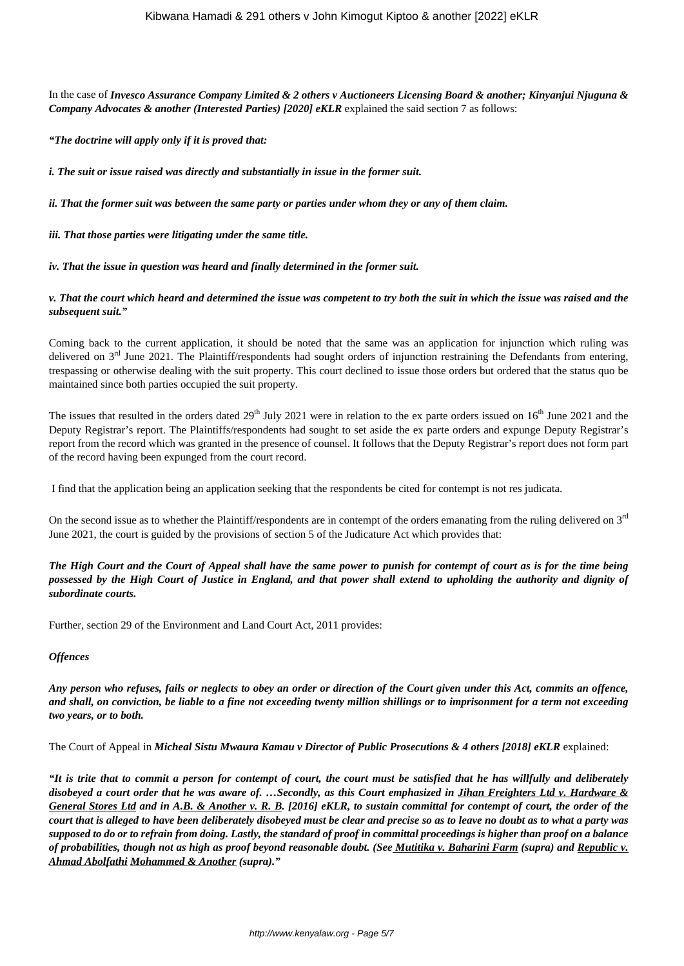In the case of *Invesco Assurance Company Limited & 2 others v Auctioneers Licensing Board & another; Kinyanjui Njuguna & Company Advocates & another (Interested Parties) [2020] eKLR* explained the said section 7 as follows:

*"The doctrine will apply only if it is proved that:*

*i. The suit or issue raised was directly and substantially in issue in the former suit.*

*ii. That the former suit was between the same party or parties under whom they or any of them claim.*

*iii. That those parties were litigating under the same title.*

*iv. That the issue in question was heard and finally determined in the former suit.*

## *v. That the court which heard and determined the issue was competent to try both the suit in which the issue was raised and the subsequent suit."*

Coming back to the current application, it should be noted that the same was an application for injunction which ruling was delivered on  $3<sup>rd</sup>$  June 2021. The Plaintiff/respondents had sought orders of injunction restraining the Defendants from entering, trespassing or otherwise dealing with the suit property. This court declined to issue those orders but ordered that the status quo be maintained since both parties occupied the suit property.

The issues that resulted in the orders dated  $29<sup>th</sup>$  July 2021 were in relation to the ex parte orders issued on  $16<sup>th</sup>$  June 2021 and the Deputy Registrar's report. The Plaintiffs/respondents had sought to set aside the ex parte orders and expunge Deputy Registrar's report from the record which was granted in the presence of counsel. It follows that the Deputy Registrar's report does not form part of the record having been expunged from the court record.

I find that the application being an application seeking that the respondents be cited for contempt is not res judicata.

On the second issue as to whether the Plaintiff/respondents are in contempt of the orders emanating from the ruling delivered on  $3<sup>rd</sup>$ June 2021, the court is guided by the provisions of section 5 of the Judicature Act which provides that:

*The High Court and the Court of Appeal shall have the same power to punish for contempt of court as is for the time being possessed by the High Court of Justice in England, and that power shall extend to upholding the authority and dignity of subordinate courts.*

Further, section 29 of the Environment and Land Court Act, 2011 provides:

## *Offences*

*Any person who refuses, fails or neglects to obey an order or direction of the Court given under this Act, commits an offence, and shall, on conviction, be liable to a fine not exceeding twenty million shillings or to imprisonment for a term not exceeding two years, or to both.*

The Court of Appeal in *Micheal Sistu Mwaura Kamau v Director of Public Prosecutions & 4 others [2018] eKLR* explained:

*"It is trite that to commit a person for contempt of court, the court must be satisfied that he has willfully and deliberately disobeyed a court order that he was aware of. …Secondly, as this Court emphasized in Jihan Freighters Ltd v. Hardware & General Stores Ltd and in A.B. & Another v. R. B. [2016] eKLR, to sustain committal for contempt of court, the order of the court that is alleged to have been deliberately disobeyed must be clear and precise so as to leave no doubt as to what a party was supposed to do or to refrain from doing. Lastly, the standard of proof in committal proceedings is higher than proof on a balance of probabilities, though not as high as proof beyond reasonable doubt. (See Mutitika v. Baharini Farm (supra) and Republic v. Ahmad Abolfathi Mohammed & Another (supra)."*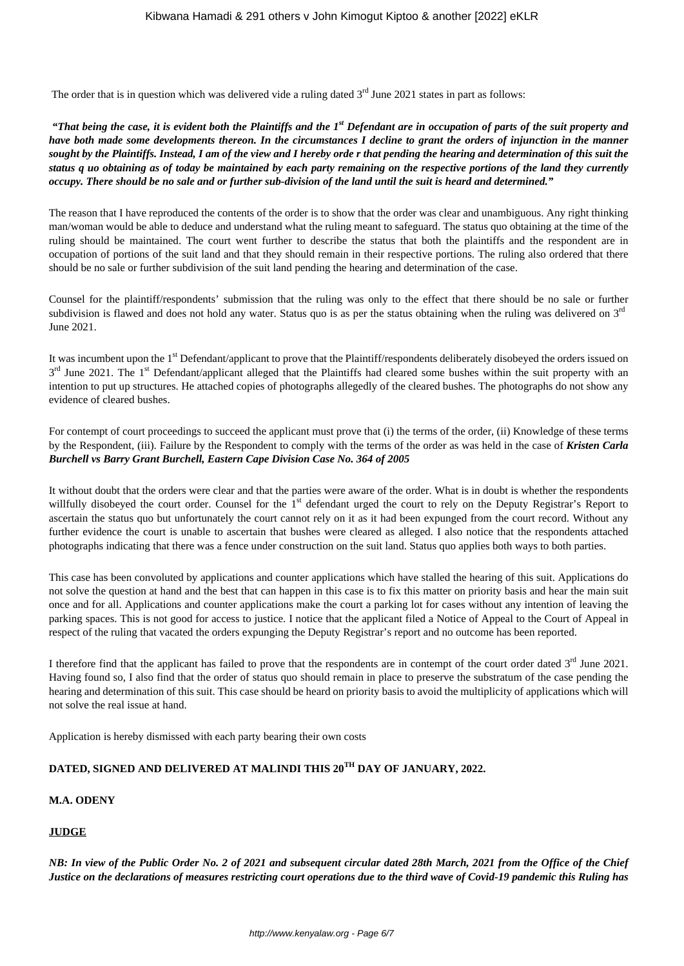The order that is in question which was delivered vide a ruling dated  $3<sup>rd</sup>$  June 2021 states in part as follows:

*"That being the case, it is evident both the Plaintiffs and the 1st Defendant are in occupation of parts of the suit property and have both made some developments thereon. In the circumstances I decline to grant the orders of injunction in the manner sought by the Plaintiffs. Instead, I am of the view and I hereby orde r that pending the hearing and determination of this suit the status q uo obtaining as of today be maintained by each party remaining on the respective portions of the land they currently occupy. There should be no sale and or further sub-division of the land until the suit is heard and determined."*

The reason that I have reproduced the contents of the order is to show that the order was clear and unambiguous. Any right thinking man/woman would be able to deduce and understand what the ruling meant to safeguard. The status quo obtaining at the time of the ruling should be maintained. The court went further to describe the status that both the plaintiffs and the respondent are in occupation of portions of the suit land and that they should remain in their respective portions. The ruling also ordered that there should be no sale or further subdivision of the suit land pending the hearing and determination of the case.

Counsel for the plaintiff/respondents' submission that the ruling was only to the effect that there should be no sale or further subdivision is flawed and does not hold any water. Status quo is as per the status obtaining when the ruling was delivered on  $3<sup>rd</sup>$ June 2021.

It was incumbent upon the 1<sup>st</sup> Defendant/applicant to prove that the Plaintiff/respondents deliberately disobeyed the orders issued on 3<sup>rd</sup> June 2021. The 1<sup>st</sup> Defendant/applicant alleged that the Plaintiffs had cleared some bushes within the suit property with an intention to put up structures. He attached copies of photographs allegedly of the cleared bushes. The photographs do not show any evidence of cleared bushes.

For contempt of court proceedings to succeed the applicant must prove that (i) the terms of the order, (ii) Knowledge of these terms by the Respondent, (iii). Failure by the Respondent to comply with the terms of the order as was held in the case of *Kristen Carla Burchell vs Barry Grant Burchell, Eastern Cape Division Case No. 364 of 2005*

It without doubt that the orders were clear and that the parties were aware of the order. What is in doubt is whether the respondents willfully disobeyed the court order. Counsel for the 1<sup>st</sup> defendant urged the court to rely on the Deputy Registrar's Report to ascertain the status quo but unfortunately the court cannot rely on it as it had been expunged from the court record. Without any further evidence the court is unable to ascertain that bushes were cleared as alleged. I also notice that the respondents attached photographs indicating that there was a fence under construction on the suit land. Status quo applies both ways to both parties.

This case has been convoluted by applications and counter applications which have stalled the hearing of this suit. Applications do not solve the question at hand and the best that can happen in this case is to fix this matter on priority basis and hear the main suit once and for all. Applications and counter applications make the court a parking lot for cases without any intention of leaving the parking spaces. This is not good for access to justice. I notice that the applicant filed a Notice of Appeal to the Court of Appeal in respect of the ruling that vacated the orders expunging the Deputy Registrar's report and no outcome has been reported.

I therefore find that the applicant has failed to prove that the respondents are in contempt of the court order dated  $3<sup>rd</sup>$  June 2021. Having found so, I also find that the order of status quo should remain in place to preserve the substratum of the case pending the hearing and determination of this suit. This case should be heard on priority basis to avoid the multiplicity of applications which will not solve the real issue at hand.

Application is hereby dismissed with each party bearing their own costs

# **DATED, SIGNED AND DELIVERED AT MALINDI THIS 20TH DAY OF JANUARY, 2022.**

# **M.A. ODENY**

## **JUDGE**

*NB: In view of the Public Order No. 2 of 2021 and subsequent circular dated 28th March, 2021 from the Office of the Chief Justice on the declarations of measures restricting court operations due to the third wave of Covid-19 pandemic this Ruling has*